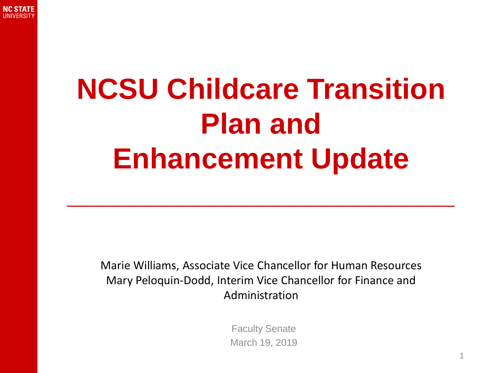

## **NCSU Childcare Transition Plan and Enhancement Update**

**\_\_\_\_\_\_\_\_\_\_\_\_\_\_\_\_\_\_\_\_\_\_\_\_**

Marie Williams, Associate Vice Chancellor for Human Resources Mary Peloquin-Dodd, Interim Vice Chancellor for Finance and Administration

> Faculty Senate March 19, 2019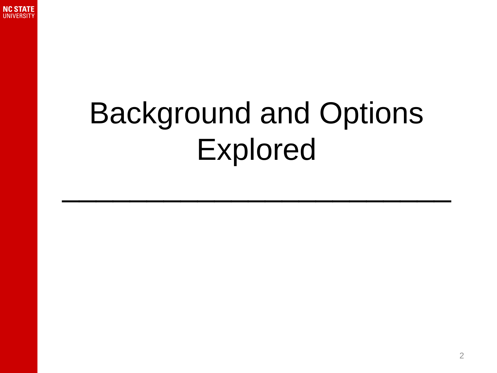

# Background and Options Explored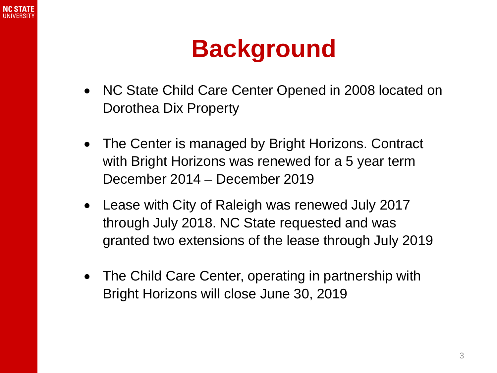

#### **Background**

- NC State Child Care Center Opened in 2008 located on Dorothea Dix Property
- The Center is managed by Bright Horizons. Contract with Bright Horizons was renewed for a 5 year term December 2014 – December 2019
- Lease with City of Raleigh was renewed July 2017 through July 2018. NC State requested and was granted two extensions of the lease through July 2019
- The Child Care Center, operating in partnership with Bright Horizons will close June 30, 2019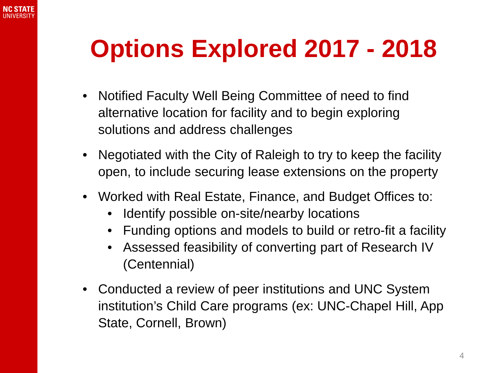

### **Options Explored 2017 - 2018**

- Notified Faculty Well Being Committee of need to find alternative location for facility and to begin exploring solutions and address challenges
- Negotiated with the City of Raleigh to try to keep the facility open, to include securing lease extensions on the property
- Worked with Real Estate, Finance, and Budget Offices to:
	- Identify possible on-site/nearby locations
	- Funding options and models to build or retro-fit a facility
	- Assessed feasibility of converting part of Research IV (Centennial)
- Conducted a review of peer institutions and UNC System institution's Child Care programs (ex: UNC-Chapel Hill, App State, Cornell, Brown)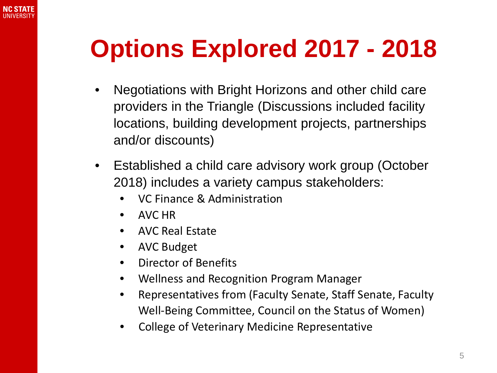

#### **Options Explored 2017 - 2018**

- Negotiations with Bright Horizons and other child care providers in the Triangle (Discussions included facility locations, building development projects, partnerships and/or discounts)
- Established a child care advisory work group (October 2018) includes a variety campus stakeholders:
	- VC Finance & Administration
	- AVC HR
	- AVC Real Estate
	- AVC Budget
	- Director of Benefits
	- Wellness and Recognition Program Manager
	- Representatives from (Faculty Senate, Staff Senate, Faculty Well-Being Committee, Council on the Status of Women)
	- College of Veterinary Medicine Representative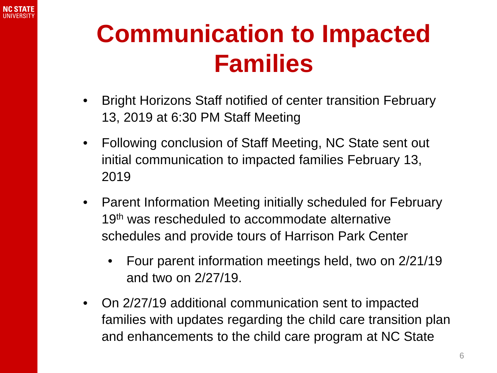

#### **Communication to Impacted Families**

- Bright Horizons Staff notified of center transition February 13, 2019 at 6:30 PM Staff Meeting
- Following conclusion of Staff Meeting, NC State sent out initial communication to impacted families February 13, 2019
- Parent Information Meeting initially scheduled for February 19<sup>th</sup> was rescheduled to accommodate alternative schedules and provide tours of Harrison Park Center
	- Four parent information meetings held, two on 2/21/19 and two on 2/27/19.
- On 2/27/19 additional communication sent to impacted families with updates regarding the child care transition plan and enhancements to the child care program at NC State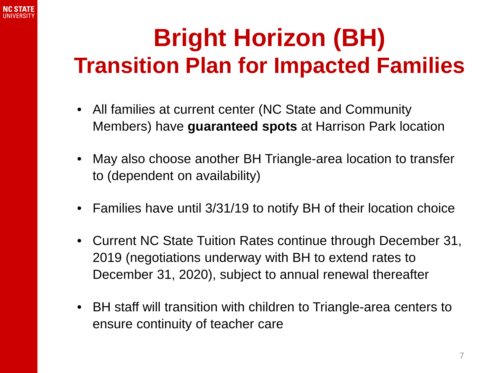

#### **Bright Horizon (BH) Transition Plan for Impacted Families**

- All families at current center (NC State and Community Members) have **guaranteed spots** at Harrison Park location
- May also choose another BH Triangle-area location to transfer to (dependent on availability)
- Families have until 3/31/19 to notify BH of their location choice
- Current NC State Tuition Rates continue through December 31, 2019 (negotiations underway with BH to extend rates to December 31, 2020), subject to annual renewal thereafter
- BH staff will transition with children to Triangle-area centers to ensure continuity of teacher care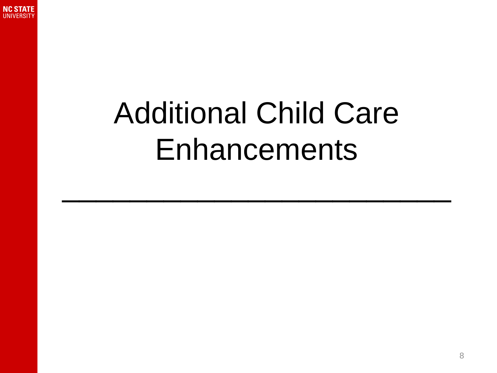

# Additional Child Care Enhancements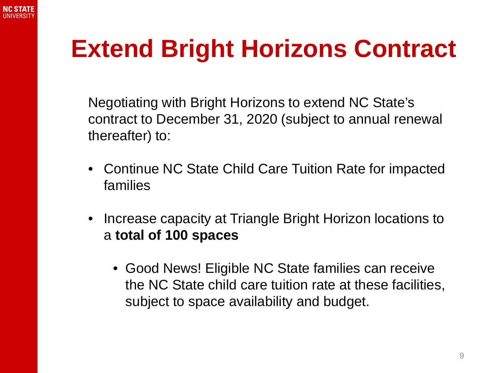

#### **Extend Bright Horizons Contract**

Negotiating with Bright Horizons to extend NC State's contract to December 31, 2020 (subject to annual renewal thereafter) to:

- Continue NC State Child Care Tuition Rate for impacted families
- Increase capacity at Triangle Bright Horizon locations to a **total of 100 spaces**
	- Good News! Eligible NC State families can receive the NC State child care tuition rate at these facilities, subject to space availability and budget.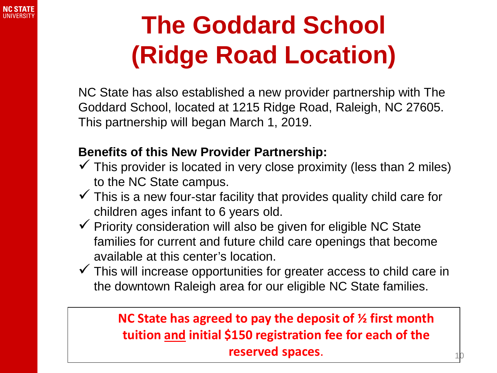

### **The Goddard School (Ridge Road Location)**

NC State has also established a new provider partnership with The Goddard School, located at 1215 Ridge Road, Raleigh, NC 27605. This partnership will began March 1, 2019.

#### **Benefits of this New Provider Partnership:**

- $\checkmark$  This provider is located in very close proximity (less than 2 miles) to the NC State campus.
- $\checkmark$  This is a new four-star facility that provides quality child care for children ages infant to 6 years old.
- $\checkmark$  Priority consideration will also be given for eligible NC State families for current and future child care openings that become available at this center's location.
- $\checkmark$  This will increase opportunities for greater access to child care in the downtown Raleigh area for our eligible NC State families.

#### **NC State has agreed to pay the deposit of ½ first month tuition and initial \$150 registration fee for each of the reserved spaces**.

10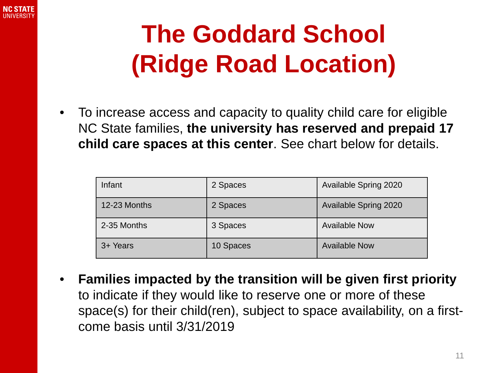

### **The Goddard School (Ridge Road Location)**

• To increase access and capacity to quality child care for eligible NC State families, **the university has reserved and prepaid 17 child care spaces at this center**. See chart below for details.

| Infant       | 2 Spaces  | Available Spring 2020 |
|--------------|-----------|-----------------------|
| 12-23 Months | 2 Spaces  | Available Spring 2020 |
| 2-35 Months  | 3 Spaces  | <b>Available Now</b>  |
| 3+ Years     | 10 Spaces | <b>Available Now</b>  |

• **Families impacted by the transition will be given first priority**  to indicate if they would like to reserve one or more of these space(s) for their child(ren), subject to space availability, on a firstcome basis until 3/31/2019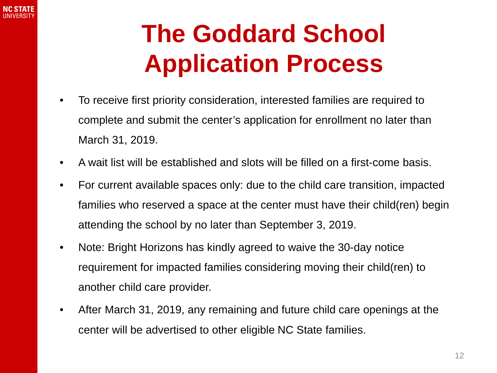

### **The Goddard School Application Process**

- To receive first priority consideration, interested families are required to complete and submit the center's application for enrollment no later than March 31, 2019.
- A wait list will be established and slots will be filled on a first-come basis.
- For current available spaces only: due to the child care transition, impacted families who reserved a space at the center must have their child(ren) begin attending the school by no later than September 3, 2019.
- Note: Bright Horizons has kindly agreed to waive the 30-day notice requirement for impacted families considering moving their child(ren) to another child care provider.
- After March 31, 2019, any remaining and future child care openings at the center will be advertised to other eligible NC State families.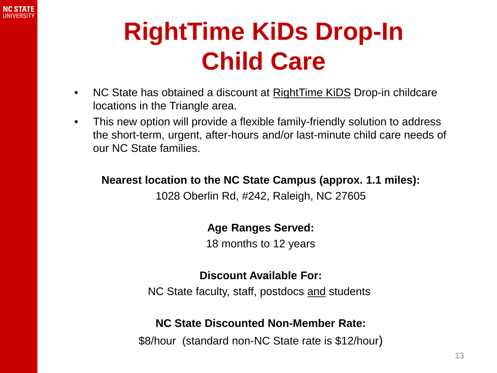

#### **RightTime KiDs Drop-In Child Care**

- NC State has obtained a discount at RightTime KiDS Drop-in childcare locations in the Triangle area.
- This new option will provide a flexible family-friendly solution to address the short-term, urgent, after-hours and/or last-minute child care needs of our NC State families.

**Nearest location to the NC State Campus (approx. 1.1 miles):** 1028 Oberlin Rd, #242, Raleigh, NC 27605

#### **Age Ranges Served:**

18 months to 12 years

#### **Discount Available For:**

NC State faculty, staff, postdocs and students

#### **NC State Discounted Non-Member Rate:**

\$8/hour (standard non-NC State rate is \$12/hour)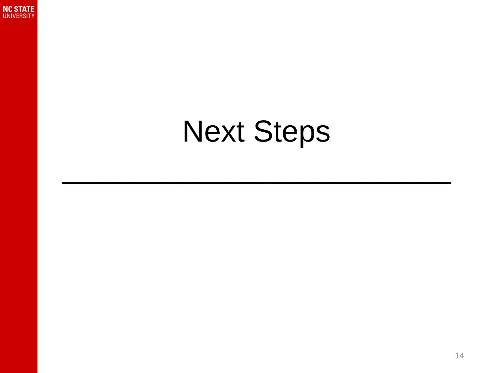

## Next Steps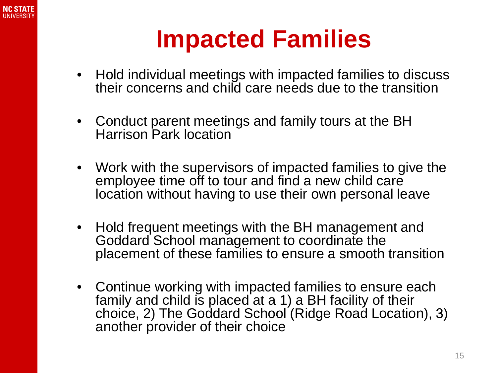

#### **Impacted Families**

- Hold individual meetings with impacted families to discuss their concerns and child care needs due to the transition
- Conduct parent meetings and family tours at the BH Harrison Park location
- Work with the supervisors of impacted families to give the employee time off to tour and find a new child care location without having to use their own personal leave
- Hold frequent meetings with the BH management and Goddard School management to coordinate the placement of these families to ensure a smooth transition
- Continue working with impacted families to ensure each family and child is placed at a 1) a BH facility of their choice, 2) The Goddard School (Ridge Road Location), 3) another provider of their choice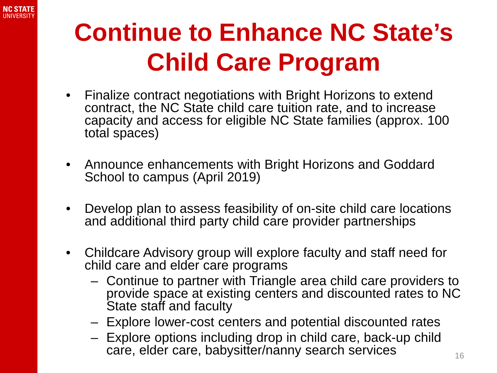

### **Continue to Enhance NC State's Child Care Program**

- Finalize contract negotiations with Bright Horizons to extend contract, the NC State child care tuition rate, and to increase capacity and access for eligible NC State families (approx. 100 total spaces)
- Announce enhancements with Bright Horizons and Goddard School to campus (April 2019)
- Develop plan to assess feasibility of on-site child care locations and additional third party child care provider partnerships
- Childcare Advisory group will explore faculty and staff need for child care and elder care programs
	- Continue to partner with Triangle area child care providers to provide space at existing centers and discounted rates to NC State staff and faculty
	- Explore lower-cost centers and potential discounted rates
	- Explore options including drop in child care, back-up child care, elder care, babysitter/nanny search services